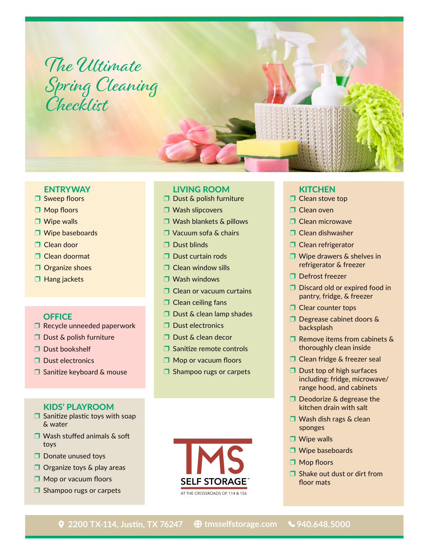# The Ultimate Spring Cleaning

#### LIVING ROOM

- ❒ Dust & polish furniture
- ❒ Wash slipcovers
- ❒ Wash blankets & pillows
- ❒ Vacuum sofa & chairs
- ❒ Dust blinds
- ❒ Dust curtain rods
- ❒ Clean window sills
- ❒ Wash windows
- ❒ Clean or vacuum curtains
- ❒ Clean ceiling fans
- ❒ Dust & clean lamp shades
- ❒ Dust electronics
- ❒ Dust & clean decor
- ❒ Sanitize remote controls
- ❒ Mop or vacuum floors
- ❒ Shampoo rugs or carpets

# Checklist

**ENTRYWAY** ❒ Sweep floors ❒ Mop floors ❒ Wipe walls

❒ Wipe baseboards

❒ Clean door ❒ Clean doormat □ Organize shoes ❒ Hang jackets

**OFFICE** 

❒ Dust bookshelf ❒ Dust electronics

# KIDS' PLAYROOM

❒ Sanitize keyboard & mouse

**□** Sanitize plastic toys with soap & water

❒ Recycle unneeded paperwork

❒ Dust & polish furniture

- ❒ Wash stuffed animals & soft toys
- ❒ Donate unused toys
- ❒ Organize toys & play areas
- ❒ Mop or vacuum floors
- ❒ Shampoo rugs or carpets



# **KITCHEN**

- □ Clean stove top
- ❒ Clean oven
- ❒ Clean microwave
- ❒ Clean dishwasher
- ❒ Clean refrigerator
- ❒ Wipe drawers & shelves in refrigerator & freezer
- ❒ Defrost freezer
- ❒ Discard old or expired food in pantry, fridge, & freezer
- □ Clear counter tops
- ❒ Degrease cabinet doors & backsplash
- ❒ Remove items from cabinets & thoroughly clean inside
- ❒ Clean fridge & freezer seal
- ❒ Dust top of high surfaces including: fridge, microwave/ range hood, and cabinets
- ❒ Deodorize & degrease the kitchen drain with salt
- ❒ Wash dish rags & clean sponges
- ❒ Wipe walls
- ❒ Wipe baseboards
- ❒ Mop floors
- ❒ Shake out dust or dirt from floor mats

 **2200 TX-114, Justin, TX 76247 [tmsselfstorage.com](https://tmsselfstorage.com/) 940.648.5000**